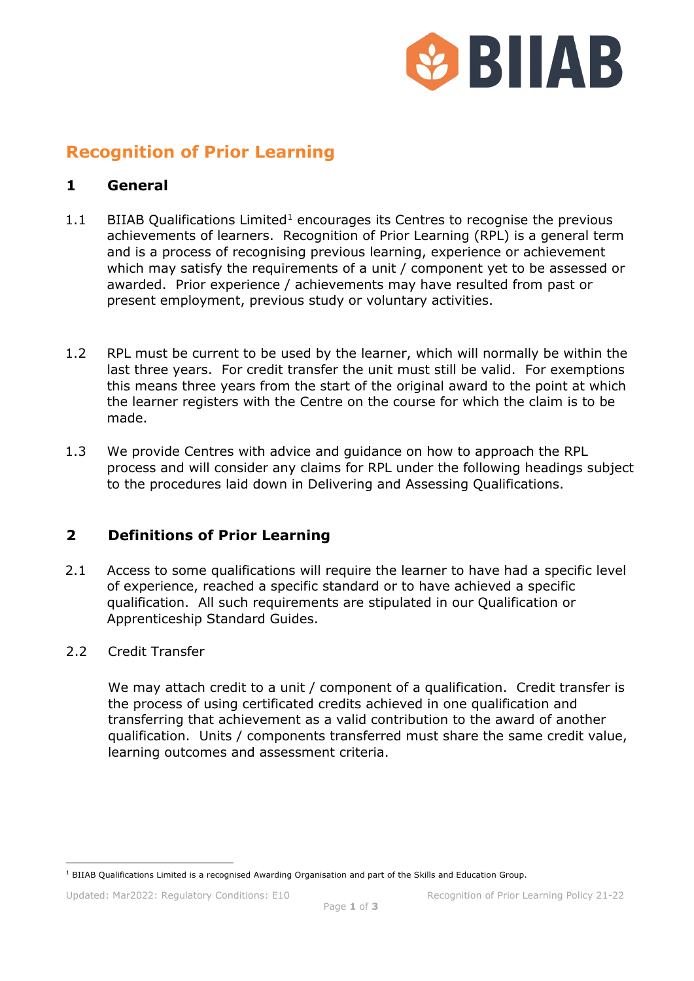

# **Recognition of Prior Learning**

### **1 General**

- [1](#page-0-0).1 BIIAB Qualifications Limited<sup>1</sup> encourages its Centres to recognise the previous achievements of learners. Recognition of Prior Learning (RPL) is a general term and is a process of recognising previous learning, experience or achievement which may satisfy the requirements of a unit / component yet to be assessed or awarded. Prior experience / achievements may have resulted from past or present employment, previous study or voluntary activities.
- 1.2 RPL must be current to be used by the learner, which will normally be within the last three years. For credit transfer the unit must still be valid. For exemptions this means three years from the start of the original award to the point at which the learner registers with the Centre on the course for which the claim is to be made.
- 1.3 We provide Centres with advice and guidance on how to approach the RPL process and will consider any claims for RPL under the following headings subject to the procedures laid down in Delivering and Assessing Qualifications.

# **2 Definitions of Prior Learning**

2.1 Access to some qualifications will require the learner to have had a specific level of experience, reached a specific standard or to have achieved a specific qualification. All such requirements are stipulated in our Qualification or Apprenticeship Standard Guides.

#### 2.2 Credit Transfer

We may attach credit to a unit / component of a qualification. Credit transfer is the process of using certificated credits achieved in one qualification and transferring that achievement as a valid contribution to the award of another qualification. Units / components transferred must share the same credit value, learning outcomes and assessment criteria.

<span id="page-0-0"></span> $1$  BIIAB Qualifications Limited is a recognised Awarding Organisation and part of the Skills and Education Group.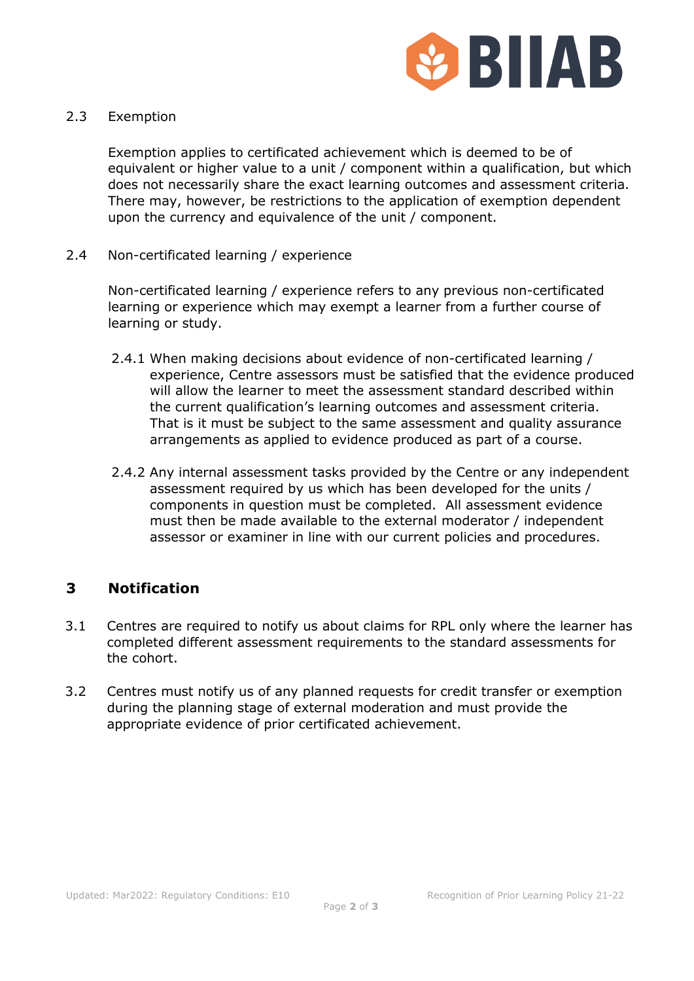

#### 2.3 Exemption

Exemption applies to certificated achievement which is deemed to be of equivalent or higher value to a unit / component within a qualification, but which does not necessarily share the exact learning outcomes and assessment criteria. There may, however, be restrictions to the application of exemption dependent upon the currency and equivalence of the unit / component.

2.4 Non-certificated learning / experience

Non-certificated learning / experience refers to any previous non-certificated learning or experience which may exempt a learner from a further course of learning or study.

- 2.4.1 When making decisions about evidence of non-certificated learning / experience, Centre assessors must be satisfied that the evidence produced will allow the learner to meet the assessment standard described within the current qualification's learning outcomes and assessment criteria. That is it must be subject to the same assessment and quality assurance arrangements as applied to evidence produced as part of a course.
- 2.4.2 Any internal assessment tasks provided by the Centre or any independent assessment required by us which has been developed for the units / components in question must be completed. All assessment evidence must then be made available to the external moderator / independent assessor or examiner in line with our current policies and procedures.

# **3 Notification**

- 3.1 Centres are required to notify us about claims for RPL only where the learner has completed different assessment requirements to the standard assessments for the cohort.
- 3.2 Centres must notify us of any planned requests for credit transfer or exemption during the planning stage of external moderation and must provide the appropriate evidence of prior certificated achievement.